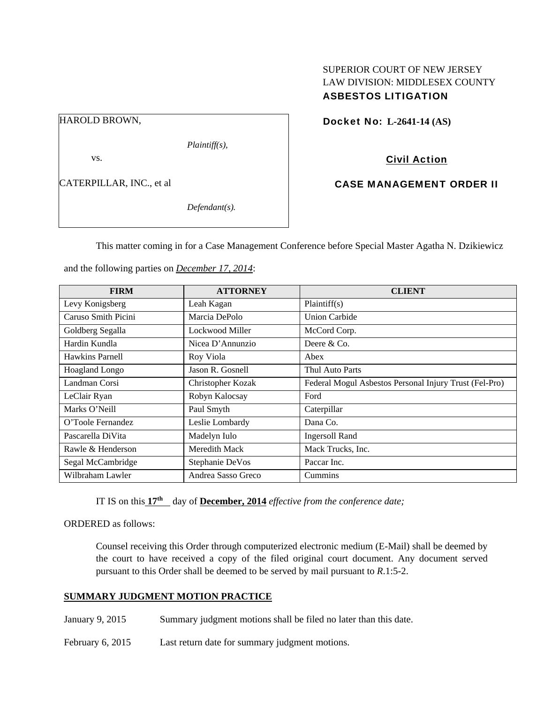# SUPERIOR COURT OF NEW JERSEY LAW DIVISION: MIDDLESEX COUNTY ASBESTOS LITIGATION

HAROLD BROWN,

*Plaintiff(s),* 

vs.

CATERPILLAR, INC., et al

*Defendant(s).* 

Docket No: **L-2641-14 (AS)** 

Civil Action

CASE MANAGEMENT ORDER II

This matter coming in for a Case Management Conference before Special Master Agatha N. Dzikiewicz

| <b>FIRM</b>         | <b>ATTORNEY</b>    | <b>CLIENT</b>                                          |
|---------------------|--------------------|--------------------------------------------------------|
| Levy Konigsberg     | Leah Kagan         | Plaintiff(s)                                           |
| Caruso Smith Picini | Marcia DePolo      | <b>Union Carbide</b>                                   |
| Goldberg Segalla    | Lockwood Miller    | McCord Corp.                                           |
| Hardin Kundla       | Nicea D'Annunzio   | Deere $&Co$ .                                          |
| Hawkins Parnell     | Roy Viola          | Abex                                                   |
| Hoagland Longo      | Jason R. Gosnell   | Thul Auto Parts                                        |
| Landman Corsi       | Christopher Kozak  | Federal Mogul Asbestos Personal Injury Trust (Fel-Pro) |
| LeClair Ryan        | Robyn Kalocsay     | Ford                                                   |
| Marks O'Neill       | Paul Smyth         | Caterpillar                                            |
| O'Toole Fernandez   | Leslie Lombardy    | Dana Co.                                               |
| Pascarella DiVita   | Madelyn Iulo       | <b>Ingersoll Rand</b>                                  |
| Rawle & Henderson   | Meredith Mack      | Mack Trucks, Inc.                                      |
| Segal McCambridge   | Stephanie DeVos    | Paccar Inc.                                            |
| Wilbraham Lawler    | Andrea Sasso Greco | Cummins                                                |

and the following parties on *December 17, 2014*:

IT IS on this  $17<sup>th</sup>$  day of **December, 2014** *effective from the conference date;* 

ORDERED as follows:

Counsel receiving this Order through computerized electronic medium (E-Mail) shall be deemed by the court to have received a copy of the filed original court document. Any document served pursuant to this Order shall be deemed to be served by mail pursuant to *R*.1:5-2.

# **SUMMARY JUDGMENT MOTION PRACTICE**

January 9, 2015 Summary judgment motions shall be filed no later than this date.

February 6, 2015 Last return date for summary judgment motions.